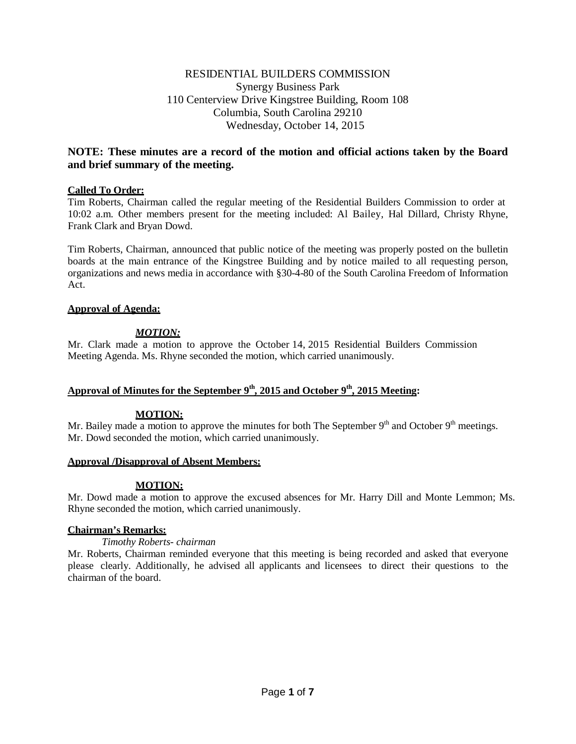# RESIDENTIAL BUILDERS COMMISSION Synergy Business Park 110 Centerview Drive Kingstree Building, Room 108 Columbia, South Carolina 29210 Wednesday, October 14, 2015

# **NOTE: These minutes are a record of the motion and official actions taken by the Board and brief summary of the meeting.**

## **Called To Order:**

Tim Roberts, Chairman called the regular meeting of the Residential Builders Commission to order at 10:02 a.m. Other members present for the meeting included: Al Bailey, Hal Dillard, Christy Rhyne, Frank Clark and Bryan Dowd.

Tim Roberts, Chairman, announced that public notice of the meeting was properly posted on the bulletin boards at the main entrance of the Kingstree Building and by notice mailed to all requesting person, organizations and news media in accordance with §30-4-80 of the South Carolina Freedom of Information Act.

## **Approval of Agenda:**

## *MOTION:*

Mr. Clark made a motion to approve the October 14, 2015 Residential Builders Commission Meeting Agenda. Ms. Rhyne seconded the motion, which carried unanimously.

# **Approval of Minutes for the September 9th , 2015 and October 9th, 2015 Meeting:**

## **MOTION:**

Mr. Bailey made a motion to approve the minutes for both The September  $9<sup>th</sup>$  and October  $9<sup>th</sup>$  meetings. Mr. Dowd seconded the motion, which carried unanimously.

## **Approval /Disapproval of Absent Members:**

# **MOTION:**

Mr. Dowd made a motion to approve the excused absences for Mr. Harry Dill and Monte Lemmon; Ms. Rhyne seconded the motion, which carried unanimously.

## **Chairman's Remarks:**

## *Timothy Roberts- chairman*

Mr. Roberts, Chairman reminded everyone that this meeting is being recorded and asked that everyone please clearly. Additionally, he advised all applicants and licensees to direct their questions to the chairman of the board.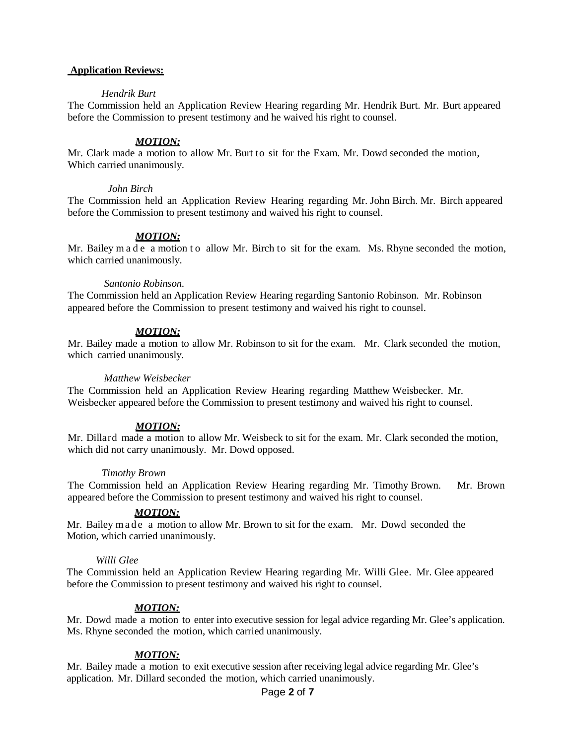### **Application Reviews:**

### *Hendrik Burt*

The Commission held an Application Review Hearing regarding Mr. Hendrik Burt. Mr. Burt appeared before the Commission to present testimony and he waived his right to counsel.

#### *MOTION:*

Mr. Clark made a motion to allow Mr. Burt to sit for the Exam. Mr. Dowd seconded the motion, Which carried unanimously.

#### *John Birch*

The Commission held an Application Review Hearing regarding Mr. John Birch. Mr. Birch appeared before the Commission to present testimony and waived his right to counsel.

#### *MOTION:*

Mr. Bailey m a d e a motion t o allow Mr. Birch to sit for the exam. Ms. Rhyne seconded the motion, which carried unanimously.

#### *Santonio Robinson.*

The Commission held an Application Review Hearing regarding Santonio Robinson. Mr. Robinson appeared before the Commission to present testimony and waived his right to counsel.

#### *MOTION:*

Mr. Bailey made a motion to allow Mr. Robinson to sit for the exam. Mr. Clark seconded the motion, which carried unanimously.

#### *Matthew Weisbecker*

The Commission held an Application Review Hearing regarding Matthew Weisbecker. Mr. Weisbecker appeared before the Commission to present testimony and waived his right to counsel.

#### *MOTION:*

Mr. Dillard made a motion to allow Mr. Weisbeck to sit for the exam. Mr. Clark seconded the motion, which did not carry unanimously. Mr. Dowd opposed.

#### *Timothy Brown*

The Commission held an Application Review Hearing regarding Mr. Timothy Brown. Mr. Brown appeared before the Commission to present testimony and waived his right to counsel.

#### *MOTION:*

Mr. Bailey made a motion to allow Mr. Brown to sit for the exam. Mr. Dowd seconded the Motion, which carried unanimously.

#### *Willi Glee*

The Commission held an Application Review Hearing regarding Mr. Willi Glee. Mr. Glee appeared before the Commission to present testimony and waived his right to counsel.

#### *MOTION:*

Mr. Dowd made a motion to enter into executive session for legal advice regarding Mr. Glee's application. Ms. Rhyne seconded the motion, which carried unanimously.

#### *MOTION:*

Mr. Bailey made a motion to exit executive session after receiving legal advice regarding Mr. Glee's application. Mr. Dillard seconded the motion, which carried unanimously.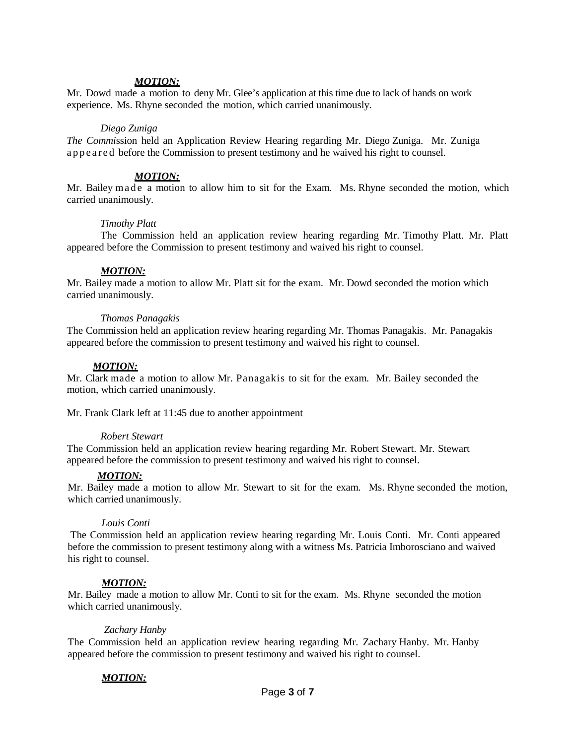### *MOTION:*

Mr. Dowd made a motion to deny Mr. Glee's application at this time due to lack of hands on work experience. Ms. Rhyne seconded the motion, which carried unanimously.

### *Diego Zuniga*

*The Commi*ssion held an Application Review Hearing regarding Mr. Diego Zuniga. Mr. Zuniga appeared before the Commission to present testimony and he waived his right to counsel.

### *MOTION:*

Mr. Bailey made a motion to allow him to sit for the Exam. Ms. Rhyne seconded the motion, which carried unanimously.

### *Timothy Platt*

The Commission held an application review hearing regarding Mr. Timothy Platt. Mr. Platt appeared before the Commission to present testimony and waived his right to counsel.

### *MOTION:*

Mr. Bailey made a motion to allow Mr. Platt sit for the exam. Mr. Dowd seconded the motion which carried unanimously.

### *Thomas Panagakis*

The Commission held an application review hearing regarding Mr. Thomas Panagakis. Mr. Panagakis appeared before the commission to present testimony and waived his right to counsel.

### *MOTION:*

Mr. Clark made a motion to allow Mr. Panagakis to sit for the exam. Mr. Bailey seconded the motion, which carried unanimously.

Mr. Frank Clark left at 11:45 due to another appointment

#### *Robert Stewart*

The Commission held an application review hearing regarding Mr. Robert Stewart. Mr. Stewart appeared before the commission to present testimony and waived his right to counsel.

## *MOTION:*

Mr. Bailey made a motion to allow Mr. Stewart to sit for the exam. Ms. Rhyne seconded the motion, which carried unanimously.

#### *Louis Conti*

The Commission held an application review hearing regarding Mr. Louis Conti. Mr. Conti appeared before the commission to present testimony along with a witness Ms. Patricia Imborosciano and waived his right to counsel.

#### *MOTION:*

Mr. Bailey made a motion to allow Mr. Conti to sit for the exam. Ms. Rhyne seconded the motion which carried unanimously.

### *Zachary Hanby*

The Commission held an application review hearing regarding Mr. Zachary Hanby. Mr. Hanby appeared before the commission to present testimony and waived his right to counsel.

## *MOTION:*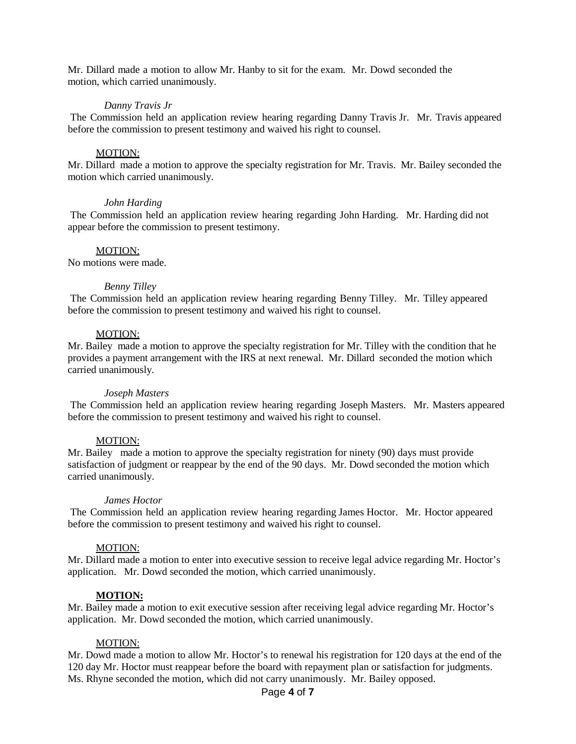Mr. Dillard made a motion to allow Mr. Hanby to sit for the exam. Mr. Dowd seconded the motion, which carried unanimously.

### *Danny Travis Jr*

The Commission held an application review hearing regarding Danny Travis Jr. Mr. Travis appeared before the commission to present testimony and waived his right to counsel.

#### MOTION:

Mr. Dillard made a motion to approve the specialty registration for Mr. Travis. Mr. Bailey seconded the motion which carried unanimously.

#### *John Harding*

The Commission held an application review hearing regarding John Harding. Mr. Harding did not appear before the commission to present testimony.

#### MOTION:

No motions were made.

#### *Benny Tilley*

The Commission held an application review hearing regarding Benny Tilley. Mr. Tilley appeared before the commission to present testimony and waived his right to counsel.

#### MOTION:

Mr. Bailey made a motion to approve the specialty registration for Mr. Tilley with the condition that he provides a payment arrangement with the IRS at next renewal. Mr. Dillard seconded the motion which carried unanimously.

#### *Joseph Masters*

The Commission held an application review hearing regarding Joseph Masters. Mr. Masters appeared before the commission to present testimony and waived his right to counsel.

#### MOTION:

Mr. Bailey made a motion to approve the specialty registration for ninety (90) days must provide satisfaction of judgment or reappear by the end of the 90 days. Mr. Dowd seconded the motion which carried unanimously.

#### *James Hoctor*

The Commission held an application review hearing regarding James Hoctor. Mr. Hoctor appeared before the commission to present testimony and waived his right to counsel.

#### MOTION:

Mr. Dillard made a motion to enter into executive session to receive legal advice regarding Mr. Hoctor's application. Mr. Dowd seconded the motion, which carried unanimously.

#### **MOTION:**

Mr. Bailey made a motion to exit executive session after receiving legal advice regarding Mr. Hoctor's application. Mr. Dowd seconded the motion, which carried unanimously.

#### MOTION:

Mr. Dowd made a motion to allow Mr. Hoctor's to renewal his registration for 120 days at the end of the 120 day Mr. Hoctor must reappear before the board with repayment plan or satisfaction for judgments. Ms. Rhyne seconded the motion, which did not carry unanimously. Mr. Bailey opposed.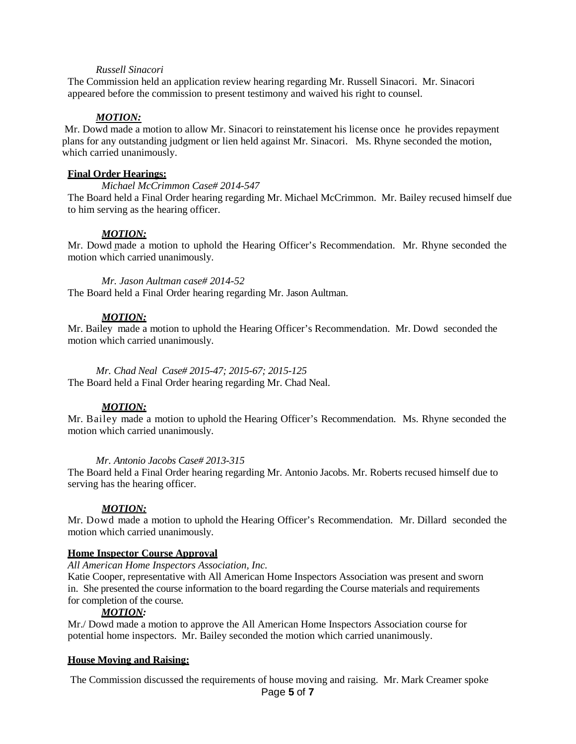#### *Russell Sinacori*

The Commission held an application review hearing regarding Mr. Russell Sinacori. Mr. Sinacori appeared before the commission to present testimony and waived his right to counsel.

#### *MOTION:*

Mr. Dowd made a motion to allow Mr. Sinacori to reinstatement his license once he provides repayment plans for any outstanding judgment or lien held against Mr. Sinacori. Ms. Rhyne seconded the motion, which carried unanimously.

### **Final Order Hearings:**

*Michael McCrimmon Case# 2014-547*

The Board held a Final Order hearing regarding Mr. Michael McCrimmon. Mr. Bailey recused himself due to him serving as the hearing officer.

### *MOTION:*

Mr. Dowd made a motion to uphold the Hearing Officer's Recommendation. Mr. Rhyne seconded the motion which carried unanimously.

*Mr. Jason Aultman case# 2014-52* The Board held a Final Order hearing regarding Mr. Jason Aultman.

### *MOTION:*

Mr. Bailey made a motion to uphold the Hearing Officer's Recommendation. Mr. Dowd seconded the motion which carried unanimously.

*Mr. Chad Neal Case# 2015-47; 2015-67; 2015-125* The Board held a Final Order hearing regarding Mr. Chad Neal.

#### *MOTION:*

Mr. Bailey made a motion to uphold the Hearing Officer's Recommendation. Ms. Rhyne seconded the motion which carried unanimously.

#### *Mr. Antonio Jacobs Case# 2013-315*

The Board held a Final Order hearing regarding Mr. Antonio Jacobs. Mr. Roberts recused himself due to serving has the hearing officer.

#### *MOTION:*

Mr. Dowd made a motion to uphold the Hearing Officer's Recommendation. Mr. Dillard seconded the motion which carried unanimously.

#### **Home Inspector Course Approval**

*All American Home Inspectors Association, Inc.*

Katie Cooper, representative with All American Home Inspectors Association was present and sworn in. She presented the course information to the board regarding the Course materials and requirements for completion of the course.

#### *MOTION:*

Mr./ Dowd made a motion to approve the All American Home Inspectors Association course for potential home inspectors. Mr. Bailey seconded the motion which carried unanimously.

#### **House Moving and Raising:**

The Commission discussed the requirements of house moving and raising. Mr. Mark Creamer spoke